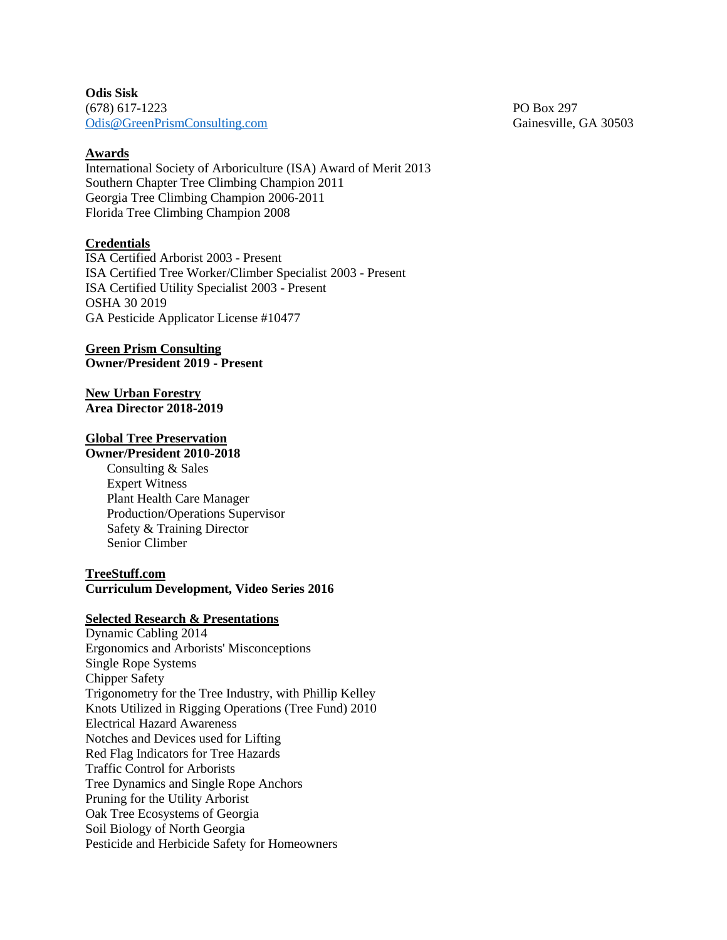**Odis Sisk** (678) 617-1223 PO Box 297 [Odis@GreenP](mailto:Odis@Green)rismConsulting.com Gainesville, GA 30503

## **Awards**

International Society of Arboriculture (ISA) Award of Merit 2013 Southern Chapter Tree Climbing Champion 2011 Georgia Tree Climbing Champion 2006-2011 Florida Tree Climbing Champion 2008

#### **Credentials**

ISA Certified Arborist 2003 - Present ISA Certified Tree Worker/Climber Specialist 2003 - Present ISA Certified Utility Specialist 2003 - Present OSHA 30 2019 GA Pesticide Applicator License #10477

#### **Green Prism Consulting Owner/President 2019 - Present**

### **New Urban Forestry Area Director 2018-2019**

# **Global Tree Preservation**

# **Owner/President 2010-2018**

Consulting & Sales Expert Witness Plant Health Care Manager Production/Operations Supervisor Safety & Training Director Senior Climber

### **TreeStuff.com Curriculum Development, Video Series 2016**

#### **Selected Research & Presentations**

Dynamic Cabling 2014 Ergonomics and Arborists' Misconceptions Single Rope Systems Chipper Safety Trigonometry for the Tree Industry, with Phillip Kelley Knots Utilized in Rigging Operations (Tree Fund) 2010 Electrical Hazard Awareness Notches and Devices used for Lifting Red Flag Indicators for Tree Hazards Traffic Control for Arborists Tree Dynamics and Single Rope Anchors Pruning for the Utility Arborist Oak Tree Ecosystems of Georgia Soil Biology of North Georgia Pesticide and Herbicide Safety for Homeowners